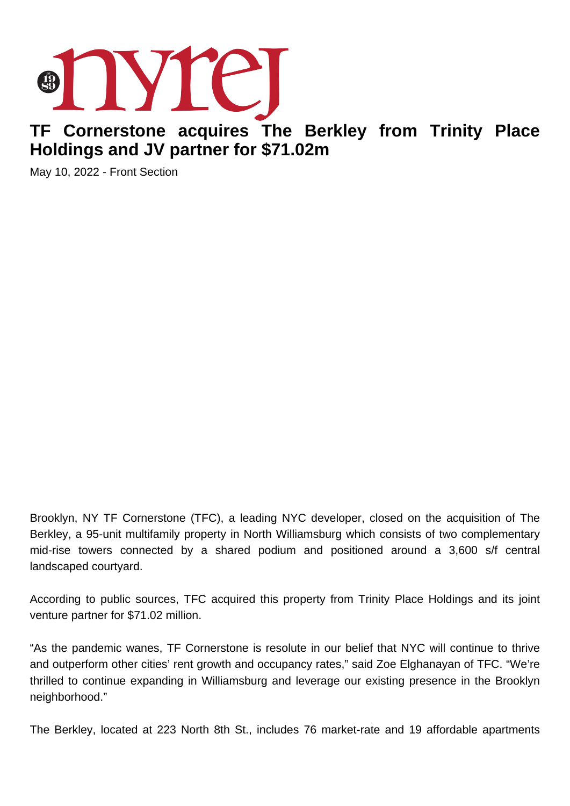

## **TF Cornerstone acquires The Berkley from Trinity Place Holdings and JV partner for \$71.02m**

May 10, 2022 - Front Section

Brooklyn, NY TF Cornerstone (TFC), a leading NYC developer, closed on the acquisition of The Berkley, a 95-unit multifamily property in North Williamsburg which consists of two complementary mid-rise towers connected by a shared podium and positioned around a 3,600 s/f central landscaped courtyard.

According to public sources, TFC acquired this property from Trinity Place Holdings and its joint venture partner for \$71.02 million.

"As the pandemic wanes, TF Cornerstone is resolute in our belief that NYC will continue to thrive and outperform other cities' rent growth and occupancy rates," said Zoe Elghanayan of TFC. "We're thrilled to continue expanding in Williamsburg and leverage our existing presence in the Brooklyn neighborhood."

The Berkley, located at 223 North 8th St., includes 76 market-rate and 19 affordable apartments